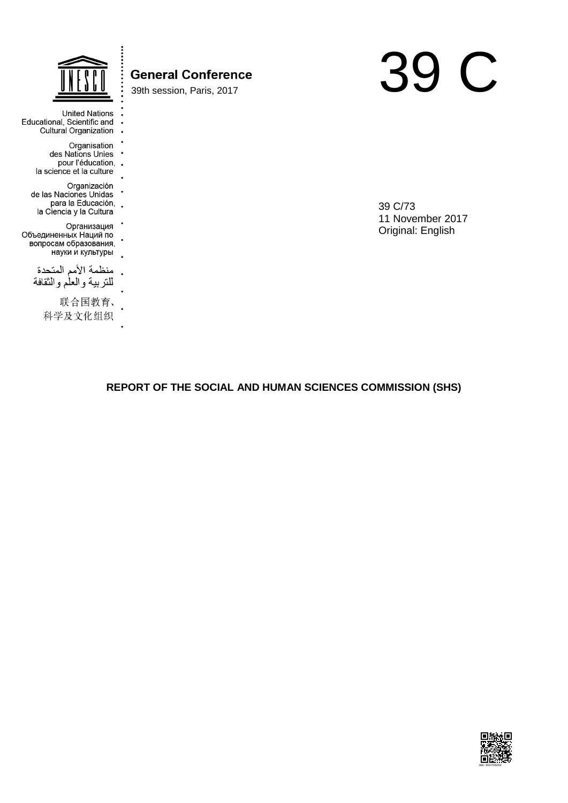

### **United Nations** Educational, Scientific and  $\cdot$ Cultural Organization Organisation  $\ddot{\phantom{0}}$ des Nations Unies pour l'éducation, . la science et la culture Organización de las Naciones Unidas para la Educación,  $\cdot$ la Ciencia y la Cultura Организация

- Объединенных Наций по  $\ddot{\phantom{0}}$ вопросам образования, науки и культуры
	- منظمة الأمم المتحدة
	- للنربية والعلم والثقافة
		- 联合国教育、
		- 科学及文化组织

# **General Conference** 39th session, Paris, 2017

# 39 C

39 C/73 11 November 2017 Original: English

# **REPORT OF THE SOCIAL AND HUMAN SCIENCES COMMISSION (SHS)**

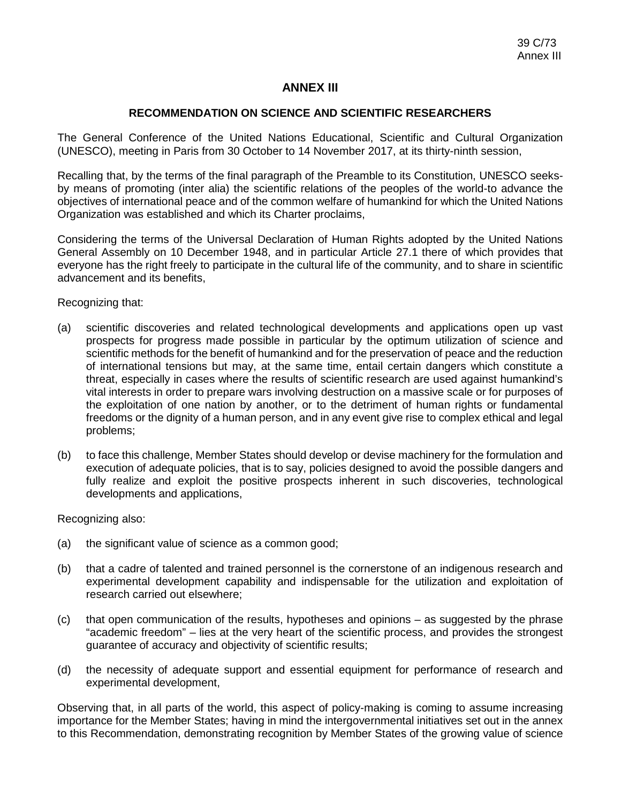# **ANNEX III**

# **RECOMMENDATION ON SCIENCE AND SCIENTIFIC RESEARCHERS**

The General Conference of the United Nations Educational, Scientific and Cultural Organization (UNESCO), meeting in Paris from 30 October to 14 November 2017, at its thirty-ninth session,

Recalling that, by the terms of the final paragraph of the Preamble to its Constitution, UNESCO seeksby means of promoting (inter alia) the scientific relations of the peoples of the world-to advance the objectives of international peace and of the common welfare of humankind for which the United Nations Organization was established and which its Charter proclaims,

Considering the terms of the Universal Declaration of Human Rights adopted by the United Nations General Assembly on 10 December 1948, and in particular Article 27.1 there of which provides that everyone has the right freely to participate in the cultural life of the community, and to share in scientific advancement and its benefits,

Recognizing that:

- (a) scientific discoveries and related technological developments and applications open up vast prospects for progress made possible in particular by the optimum utilization of science and scientific methods for the benefit of humankind and for the preservation of peace and the reduction of international tensions but may, at the same time, entail certain dangers which constitute a threat, especially in cases where the results of scientific research are used against humankind's vital interests in order to prepare wars involving destruction on a massive scale or for purposes of the exploitation of one nation by another, or to the detriment of human rights or fundamental freedoms or the dignity of a human person, and in any event give rise to complex ethical and legal problems;
- (b) to face this challenge, Member States should develop or devise machinery for the formulation and execution of adequate policies, that is to say, policies designed to avoid the possible dangers and fully realize and exploit the positive prospects inherent in such discoveries, technological developments and applications,

Recognizing also:

- (a) the significant value of science as a common good;
- (b) that a cadre of talented and trained personnel is the cornerstone of an indigenous research and experimental development capability and indispensable for the utilization and exploitation of research carried out elsewhere;
- (c) that open communication of the results, hypotheses and opinions as suggested by the phrase "academic freedom" – lies at the very heart of the scientific process, and provides the strongest guarantee of accuracy and objectivity of scientific results;
- (d) the necessity of adequate support and essential equipment for performance of research and experimental development,

Observing that, in all parts of the world, this aspect of policy-making is coming to assume increasing importance for the Member States; having in mind the intergovernmental initiatives set out in the annex to this Recommendation, demonstrating recognition by Member States of the growing value of science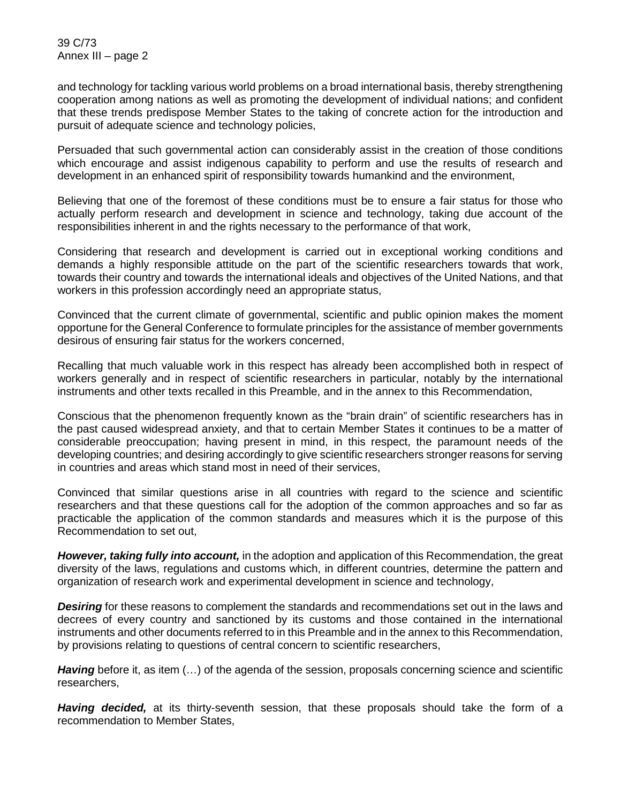39 C/73 Annex III – page 2

and technology for tackling various world problems on a broad international basis, thereby strengthening cooperation among nations as well as promoting the development of individual nations; and confident that these trends predispose Member States to the taking of concrete action for the introduction and pursuit of adequate science and technology policies,

Persuaded that such governmental action can considerably assist in the creation of those conditions which encourage and assist indigenous capability to perform and use the results of research and development in an enhanced spirit of responsibility towards humankind and the environment,

Believing that one of the foremost of these conditions must be to ensure a fair status for those who actually perform research and development in science and technology, taking due account of the responsibilities inherent in and the rights necessary to the performance of that work,

Considering that research and development is carried out in exceptional working conditions and demands a highly responsible attitude on the part of the scientific researchers towards that work, towards their country and towards the international ideals and objectives of the United Nations, and that workers in this profession accordingly need an appropriate status,

Convinced that the current climate of governmental, scientific and public opinion makes the moment opportune for the General Conference to formulate principles for the assistance of member governments desirous of ensuring fair status for the workers concerned,

Recalling that much valuable work in this respect has already been accomplished both in respect of workers generally and in respect of scientific researchers in particular, notably by the international instruments and other texts recalled in this Preamble, and in the annex to this Recommendation,

Conscious that the phenomenon frequently known as the "brain drain" of scientific researchers has in the past caused widespread anxiety, and that to certain Member States it continues to be a matter of considerable preoccupation; having present in mind, in this respect, the paramount needs of the developing countries; and desiring accordingly to give scientific researchers stronger reasons for serving in countries and areas which stand most in need of their services,

Convinced that similar questions arise in all countries with regard to the science and scientific researchers and that these questions call for the adoption of the common approaches and so far as practicable the application of the common standards and measures which it is the purpose of this Recommendation to set out,

*However, taking fully into account,* in the adoption and application of this Recommendation, the great diversity of the laws, regulations and customs which, in different countries, determine the pattern and organization of research work and experimental development in science and technology,

*Desiring* for these reasons to complement the standards and recommendations set out in the laws and decrees of every country and sanctioned by its customs and those contained in the international instruments and other documents referred to in this Preamble and in the annex to this Recommendation, by provisions relating to questions of central concern to scientific researchers,

*Having* before it, as item (…) of the agenda of the session, proposals concerning science and scientific researchers,

Having decided, at its thirty-seventh session, that these proposals should take the form of a recommendation to Member States,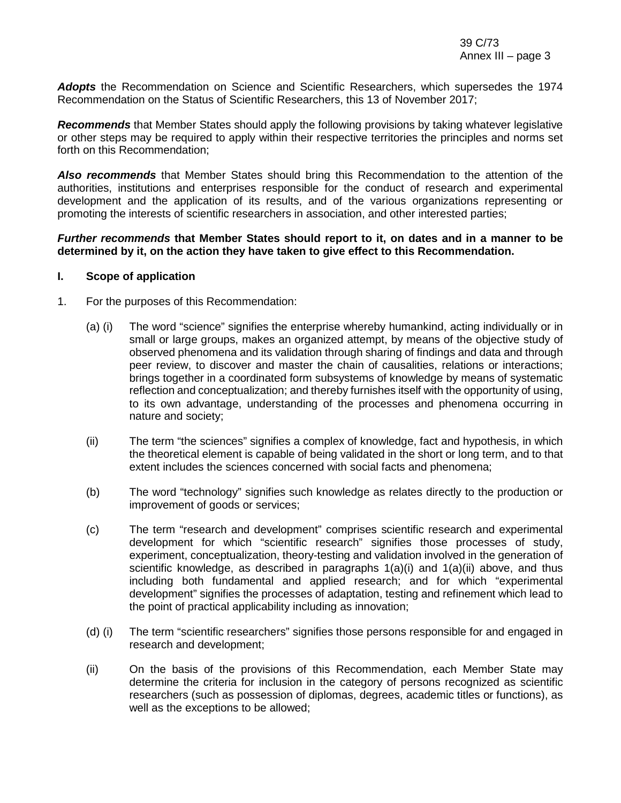*Adopts* the Recommendation on Science and Scientific Researchers, which supersedes the 1974 Recommendation on the Status of Scientific Researchers, this 13 of November 2017;

*Recommends* that Member States should apply the following provisions by taking whatever legislative or other steps may be required to apply within their respective territories the principles and norms set forth on this Recommendation;

*Also recommends* that Member States should bring this Recommendation to the attention of the authorities, institutions and enterprises responsible for the conduct of research and experimental development and the application of its results, and of the various organizations representing or promoting the interests of scientific researchers in association, and other interested parties;

*Further recommends* **that Member States should report to it, on dates and in a manner to be determined by it, on the action they have taken to give effect to this Recommendation.**

### **I. Scope of application**

- 1. For the purposes of this Recommendation:
	- (a) (i) The word "science" signifies the enterprise whereby humankind, acting individually or in small or large groups, makes an organized attempt, by means of the objective study of observed phenomena and its validation through sharing of findings and data and through peer review, to discover and master the chain of causalities, relations or interactions; brings together in a coordinated form subsystems of knowledge by means of systematic reflection and conceptualization; and thereby furnishes itself with the opportunity of using, to its own advantage, understanding of the processes and phenomena occurring in nature and society;
	- (ii) The term "the sciences" signifies a complex of knowledge, fact and hypothesis, in which the theoretical element is capable of being validated in the short or long term, and to that extent includes the sciences concerned with social facts and phenomena;
	- (b) The word "technology" signifies such knowledge as relates directly to the production or improvement of goods or services;
	- (c) The term "research and development" comprises scientific research and experimental development for which "scientific research" signifies those processes of study, experiment, conceptualization, theory-testing and validation involved in the generation of scientific knowledge, as described in paragraphs  $1(a)(i)$  and  $1(a)(ii)$  above, and thus including both fundamental and applied research; and for which "experimental development" signifies the processes of adaptation, testing and refinement which lead to the point of practical applicability including as innovation;
	- (d) (i) The term "scientific researchers" signifies those persons responsible for and engaged in research and development;
	- (ii) On the basis of the provisions of this Recommendation, each Member State may determine the criteria for inclusion in the category of persons recognized as scientific researchers (such as possession of diplomas, degrees, academic titles or functions), as well as the exceptions to be allowed;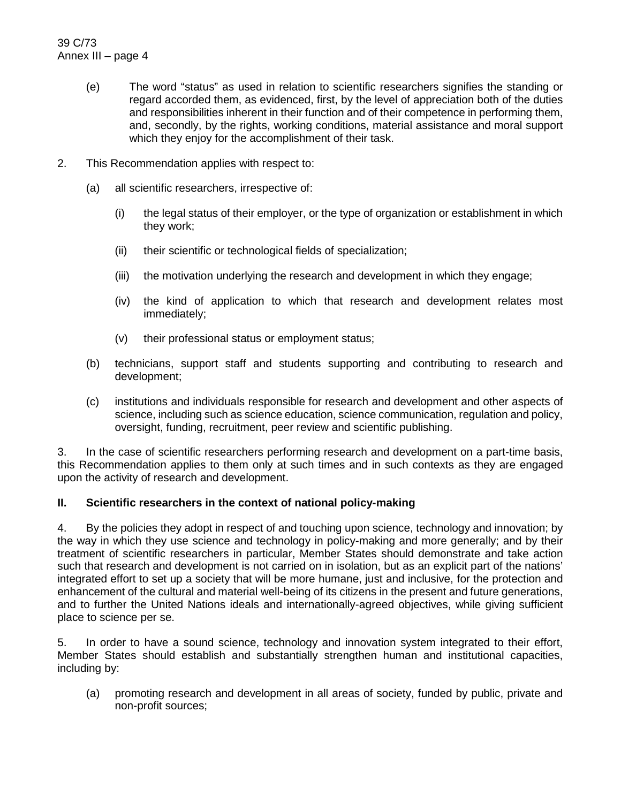- (e) The word "status" as used in relation to scientific researchers signifies the standing or regard accorded them, as evidenced, first, by the level of appreciation both of the duties and responsibilities inherent in their function and of their competence in performing them, and, secondly, by the rights, working conditions, material assistance and moral support which they enjoy for the accomplishment of their task.
- 2. This Recommendation applies with respect to:
	- (a) all scientific researchers, irrespective of:
		- (i) the legal status of their employer, or the type of organization or establishment in which they work;
		- (ii) their scientific or technological fields of specialization;
		- (iii) the motivation underlying the research and development in which they engage;
		- (iv) the kind of application to which that research and development relates most immediately;
		- (v) their professional status or employment status;
	- (b) technicians, support staff and students supporting and contributing to research and development;
	- (c) institutions and individuals responsible for research and development and other aspects of science, including such as science education, science communication, regulation and policy, oversight, funding, recruitment, peer review and scientific publishing.

3. In the case of scientific researchers performing research and development on a part-time basis, this Recommendation applies to them only at such times and in such contexts as they are engaged upon the activity of research and development.

# **II. Scientific researchers in the context of national policy-making**

4. By the policies they adopt in respect of and touching upon science, technology and innovation; by the way in which they use science and technology in policy-making and more generally; and by their treatment of scientific researchers in particular, Member States should demonstrate and take action such that research and development is not carried on in isolation, but as an explicit part of the nations' integrated effort to set up a society that will be more humane, just and inclusive, for the protection and enhancement of the cultural and material well-being of its citizens in the present and future generations, and to further the United Nations ideals and internationally-agreed objectives, while giving sufficient place to science per se.

5. In order to have a sound science, technology and innovation system integrated to their effort, Member States should establish and substantially strengthen human and institutional capacities, including by:

(a) promoting research and development in all areas of society, funded by public, private and non-profit sources;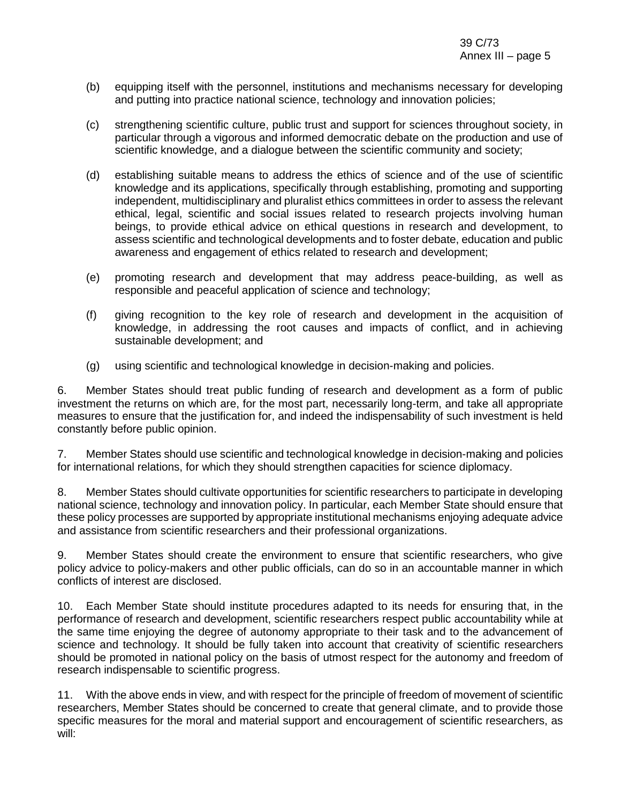- (b) equipping itself with the personnel, institutions and mechanisms necessary for developing and putting into practice national science, technology and innovation policies;
- (c) strengthening scientific culture, public trust and support for sciences throughout society, in particular through a vigorous and informed democratic debate on the production and use of scientific knowledge, and a dialogue between the scientific community and society;
- (d) establishing suitable means to address the ethics of science and of the use of scientific knowledge and its applications, specifically through establishing, promoting and supporting independent, multidisciplinary and pluralist ethics committees in order to assess the relevant ethical, legal, scientific and social issues related to research projects involving human beings, to provide ethical advice on ethical questions in research and development, to assess scientific and technological developments and to foster debate, education and public awareness and engagement of ethics related to research and development;
- (e) promoting research and development that may address peace-building, as well as responsible and peaceful application of science and technology;
- (f) giving recognition to the key role of research and development in the acquisition of knowledge, in addressing the root causes and impacts of conflict, and in achieving sustainable development; and
- (g) using scientific and technological knowledge in decision-making and policies.

6. Member States should treat public funding of research and development as a form of public investment the returns on which are, for the most part, necessarily long-term, and take all appropriate measures to ensure that the justification for, and indeed the indispensability of such investment is held constantly before public opinion.

7. Member States should use scientific and technological knowledge in decision-making and policies for international relations, for which they should strengthen capacities for science diplomacy.

8. Member States should cultivate opportunities for scientific researchers to participate in developing national science, technology and innovation policy. In particular, each Member State should ensure that these policy processes are supported by appropriate institutional mechanisms enjoying adequate advice and assistance from scientific researchers and their professional organizations.

9. Member States should create the environment to ensure that scientific researchers, who give policy advice to policy-makers and other public officials, can do so in an accountable manner in which conflicts of interest are disclosed.

10. Each Member State should institute procedures adapted to its needs for ensuring that, in the performance of research and development, scientific researchers respect public accountability while at the same time enjoying the degree of autonomy appropriate to their task and to the advancement of science and technology. It should be fully taken into account that creativity of scientific researchers should be promoted in national policy on the basis of utmost respect for the autonomy and freedom of research indispensable to scientific progress.

11. With the above ends in view, and with respect for the principle of freedom of movement of scientific researchers, Member States should be concerned to create that general climate, and to provide those specific measures for the moral and material support and encouragement of scientific researchers, as will: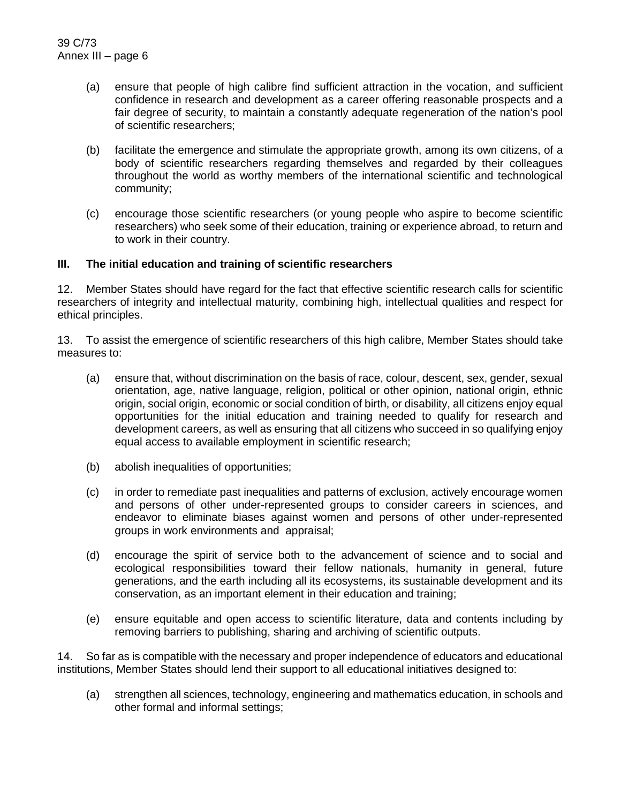39 C/73 Annex III – page 6

- (a) ensure that people of high calibre find sufficient attraction in the vocation, and sufficient confidence in research and development as a career offering reasonable prospects and a fair degree of security, to maintain a constantly adequate regeneration of the nation's pool of scientific researchers;
- (b) facilitate the emergence and stimulate the appropriate growth, among its own citizens, of a body of scientific researchers regarding themselves and regarded by their colleagues throughout the world as worthy members of the international scientific and technological community;
- (c) encourage those scientific researchers (or young people who aspire to become scientific researchers) who seek some of their education, training or experience abroad, to return and to work in their country.

# **III. The initial education and training of scientific researchers**

12. Member States should have regard for the fact that effective scientific research calls for scientific researchers of integrity and intellectual maturity, combining high, intellectual qualities and respect for ethical principles.

13. To assist the emergence of scientific researchers of this high calibre, Member States should take measures to:

- (a) ensure that, without discrimination on the basis of race, colour, descent, sex, gender, sexual orientation, age, native language, religion, political or other opinion, national origin, ethnic origin, social origin, economic or social condition of birth, or disability, all citizens enjoy equal opportunities for the initial education and training needed to qualify for research and development careers, as well as ensuring that all citizens who succeed in so qualifying enjoy equal access to available employment in scientific research;
- (b) abolish inequalities of opportunities;
- (c) in order to remediate past inequalities and patterns of exclusion, actively encourage women and persons of other under-represented groups to consider careers in sciences, and endeavor to eliminate biases against women and persons of other under-represented groups in work environments and appraisal;
- (d) encourage the spirit of service both to the advancement of science and to social and ecological responsibilities toward their fellow nationals, humanity in general, future generations, and the earth including all its ecosystems, its sustainable development and its conservation, as an important element in their education and training;
- (e) ensure equitable and open access to scientific literature, data and contents including by removing barriers to publishing, sharing and archiving of scientific outputs.

14. So far as is compatible with the necessary and proper independence of educators and educational institutions, Member States should lend their support to all educational initiatives designed to:

(a) strengthen all sciences, technology, engineering and mathematics education, in schools and other formal and informal settings;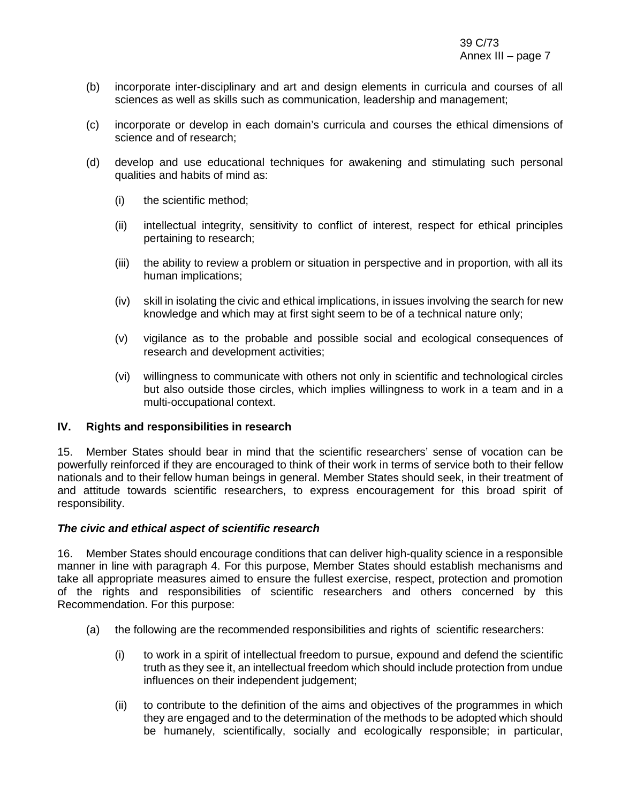- (b) incorporate inter-disciplinary and art and design elements in curricula and courses of all sciences as well as skills such as communication, leadership and management;
- (c) incorporate or develop in each domain's curricula and courses the ethical dimensions of science and of research;
- (d) develop and use educational techniques for awakening and stimulating such personal qualities and habits of mind as:
	- (i) the scientific method;
	- (ii) intellectual integrity, sensitivity to conflict of interest, respect for ethical principles pertaining to research;
	- (iii) the ability to review a problem or situation in perspective and in proportion, with all its human implications;
	- (iv) skill in isolating the civic and ethical implications, in issues involving the search for new knowledge and which may at first sight seem to be of a technical nature only;
	- (v) vigilance as to the probable and possible social and ecological consequences of research and development activities;
	- (vi) willingness to communicate with others not only in scientific and technological circles but also outside those circles, which implies willingness to work in a team and in a multi-occupational context.

# **IV. Rights and responsibilities in research**

15. Member States should bear in mind that the scientific researchers' sense of vocation can be powerfully reinforced if they are encouraged to think of their work in terms of service both to their fellow nationals and to their fellow human beings in general. Member States should seek, in their treatment of and attitude towards scientific researchers, to express encouragement for this broad spirit of responsibility.

# *The civic and ethical aspect of scientific research*

16. Member States should encourage conditions that can deliver high-quality science in a responsible manner in line with paragraph 4. For this purpose, Member States should establish mechanisms and take all appropriate measures aimed to ensure the fullest exercise, respect, protection and promotion of the rights and responsibilities of scientific researchers and others concerned by this Recommendation. For this purpose:

- (a) the following are the recommended responsibilities and rights of scientific researchers:
	- (i) to work in a spirit of intellectual freedom to pursue, expound and defend the scientific truth as they see it, an intellectual freedom which should include protection from undue influences on their independent judgement;
	- (ii) to contribute to the definition of the aims and objectives of the programmes in which they are engaged and to the determination of the methods to be adopted which should be humanely, scientifically, socially and ecologically responsible; in particular,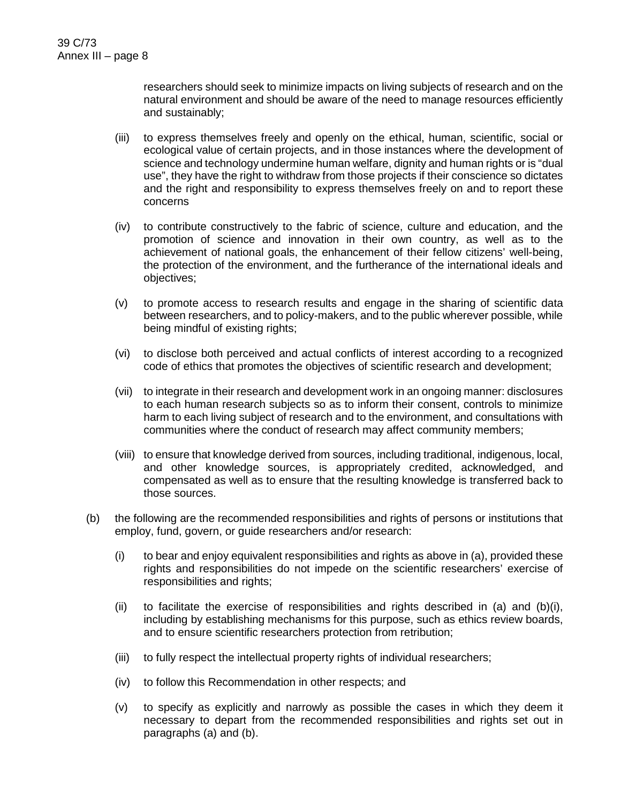researchers should seek to minimize impacts on living subjects of research and on the natural environment and should be aware of the need to manage resources efficiently and sustainably;

- (iii) to express themselves freely and openly on the ethical, human, scientific, social or ecological value of certain projects, and in those instances where the development of science and technology undermine human welfare, dignity and human rights or is "dual use", they have the right to withdraw from those projects if their conscience so dictates and the right and responsibility to express themselves freely on and to report these concerns
- (iv) to contribute constructively to the fabric of science, culture and education, and the promotion of science and innovation in their own country, as well as to the achievement of national goals, the enhancement of their fellow citizens' well-being, the protection of the environment, and the furtherance of the international ideals and objectives;
- (v) to promote access to research results and engage in the sharing of scientific data between researchers, and to policy-makers, and to the public wherever possible, while being mindful of existing rights;
- (vi) to disclose both perceived and actual conflicts of interest according to a recognized code of ethics that promotes the objectives of scientific research and development;
- (vii) to integrate in their research and development work in an ongoing manner: disclosures to each human research subjects so as to inform their consent, controls to minimize harm to each living subject of research and to the environment, and consultations with communities where the conduct of research may affect community members;
- (viii) to ensure that knowledge derived from sources, including traditional, indigenous, local, and other knowledge sources, is appropriately credited, acknowledged, and compensated as well as to ensure that the resulting knowledge is transferred back to those sources.
- (b) the following are the recommended responsibilities and rights of persons or institutions that employ, fund, govern, or guide researchers and/or research:
	- (i) to bear and enjoy equivalent responsibilities and rights as above in (a), provided these rights and responsibilities do not impede on the scientific researchers' exercise of responsibilities and rights;
	- (ii) to facilitate the exercise of responsibilities and rights described in (a) and (b)(i), including by establishing mechanisms for this purpose, such as ethics review boards, and to ensure scientific researchers protection from retribution;
	- (iii) to fully respect the intellectual property rights of individual researchers;
	- (iv) to follow this Recommendation in other respects; and
	- (v) to specify as explicitly and narrowly as possible the cases in which they deem it necessary to depart from the recommended responsibilities and rights set out in paragraphs (a) and (b).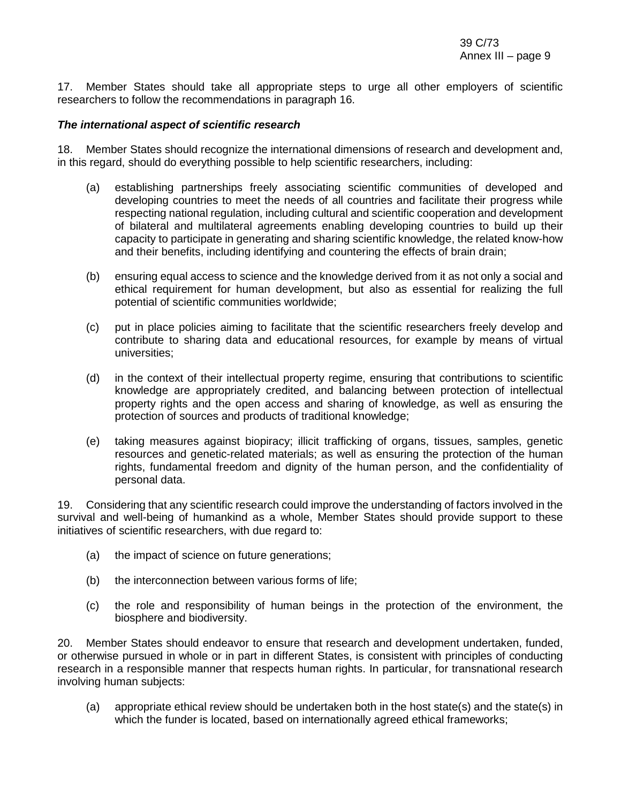17. Member States should take all appropriate steps to urge all other employers of scientific researchers to follow the recommendations in paragraph 16.

# *The international aspect of scientific research*

18. Member States should recognize the international dimensions of research and development and, in this regard, should do everything possible to help scientific researchers, including:

- (a) establishing partnerships freely associating scientific communities of developed and developing countries to meet the needs of all countries and facilitate their progress while respecting national regulation, including cultural and scientific cooperation and development of bilateral and multilateral agreements enabling developing countries to build up their capacity to participate in generating and sharing scientific knowledge, the related know-how and their benefits, including identifying and countering the effects of brain drain;
- (b) ensuring equal access to science and the knowledge derived from it as not only a social and ethical requirement for human development, but also as essential for realizing the full potential of scientific communities worldwide;
- (c) put in place policies aiming to facilitate that the scientific researchers freely develop and contribute to sharing data and educational resources, for example by means of virtual universities;
- (d) in the context of their intellectual property regime, ensuring that contributions to scientific knowledge are appropriately credited, and balancing between protection of intellectual property rights and the open access and sharing of knowledge, as well as ensuring the protection of sources and products of traditional knowledge;
- (e) taking measures against biopiracy; illicit trafficking of organs, tissues, samples, genetic resources and genetic-related materials; as well as ensuring the protection of the human rights, fundamental freedom and dignity of the human person, and the confidentiality of personal data.

19. Considering that any scientific research could improve the understanding of factors involved in the survival and well-being of humankind as a whole, Member States should provide support to these initiatives of scientific researchers, with due regard to:

- (a) the impact of science on future generations;
- (b) the interconnection between various forms of life;
- (c) the role and responsibility of human beings in the protection of the environment, the biosphere and biodiversity.

20. Member States should endeavor to ensure that research and development undertaken, funded, or otherwise pursued in whole or in part in different States, is consistent with principles of conducting research in a responsible manner that respects human rights. In particular, for transnational research involving human subjects:

(a) appropriate ethical review should be undertaken both in the host state(s) and the state(s) in which the funder is located, based on internationally agreed ethical frameworks;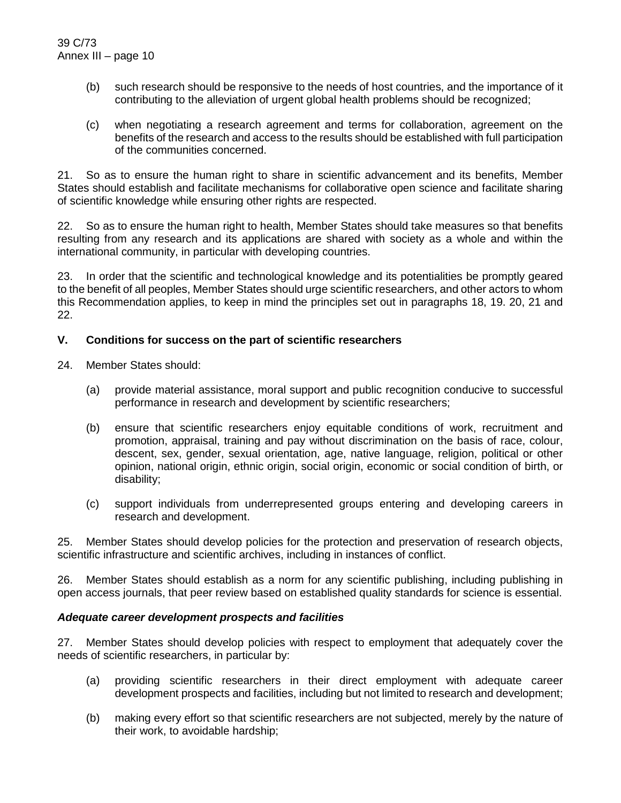- (b) such research should be responsive to the needs of host countries, and the importance of it contributing to the alleviation of urgent global health problems should be recognized;
- (c) when negotiating a research agreement and terms for collaboration, agreement on the benefits of the research and access to the results should be established with full participation of the communities concerned.

21. So as to ensure the human right to share in scientific advancement and its benefits, Member States should establish and facilitate mechanisms for collaborative open science and facilitate sharing of scientific knowledge while ensuring other rights are respected.

22. So as to ensure the human right to health, Member States should take measures so that benefits resulting from any research and its applications are shared with society as a whole and within the international community, in particular with developing countries.

23. In order that the scientific and technological knowledge and its potentialities be promptly geared to the benefit of all peoples, Member States should urge scientific researchers, and other actors to whom this Recommendation applies, to keep in mind the principles set out in paragraphs 18, 19. 20, 21 and 22.

# **V. Conditions for success on the part of scientific researchers**

- 24. Member States should:
	- (a) provide material assistance, moral support and public recognition conducive to successful performance in research and development by scientific researchers;
	- (b) ensure that scientific researchers enjoy equitable conditions of work, recruitment and promotion, appraisal, training and pay without discrimination on the basis of race, colour, descent, sex, gender, sexual orientation, age, native language, religion, political or other opinion, national origin, ethnic origin, social origin, economic or social condition of birth, or disability;
	- (c) support individuals from underrepresented groups entering and developing careers in research and development.

25. Member States should develop policies for the protection and preservation of research objects, scientific infrastructure and scientific archives, including in instances of conflict.

26. Member States should establish as a norm for any scientific publishing, including publishing in open access journals, that peer review based on established quality standards for science is essential.

# *Adequate career development prospects and facilities*

27. Member States should develop policies with respect to employment that adequately cover the needs of scientific researchers, in particular by:

- (a) providing scientific researchers in their direct employment with adequate career development prospects and facilities, including but not limited to research and development;
- (b) making every effort so that scientific researchers are not subjected, merely by the nature of their work, to avoidable hardship;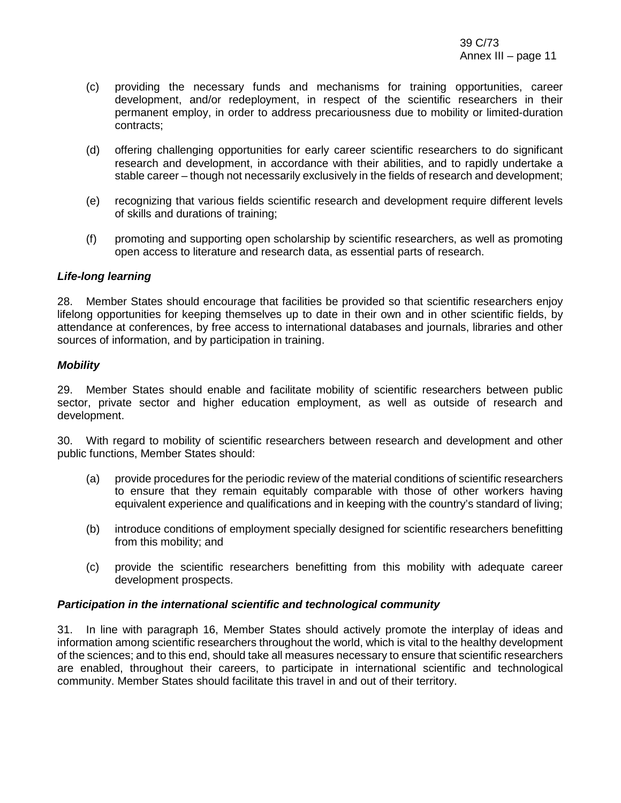- (c) providing the necessary funds and mechanisms for training opportunities, career development, and/or redeployment, in respect of the scientific researchers in their permanent employ, in order to address precariousness due to mobility or limited-duration contracts;
- (d) offering challenging opportunities for early career scientific researchers to do significant research and development, in accordance with their abilities, and to rapidly undertake a stable career – though not necessarily exclusively in the fields of research and development;
- (e) recognizing that various fields scientific research and development require different levels of skills and durations of training;
- (f) promoting and supporting open scholarship by scientific researchers, as well as promoting open access to literature and research data, as essential parts of research.

# *Life-long learning*

28. Member States should encourage that facilities be provided so that scientific researchers enjoy lifelong opportunities for keeping themselves up to date in their own and in other scientific fields, by attendance at conferences, by free access to international databases and journals, libraries and other sources of information, and by participation in training.

# *Mobility*

29. Member States should enable and facilitate mobility of scientific researchers between public sector, private sector and higher education employment, as well as outside of research and development.

30. With regard to mobility of scientific researchers between research and development and other public functions, Member States should:

- (a) provide procedures for the periodic review of the material conditions of scientific researchers to ensure that they remain equitably comparable with those of other workers having equivalent experience and qualifications and in keeping with the country's standard of living;
- (b) introduce conditions of employment specially designed for scientific researchers benefitting from this mobility; and
- (c) provide the scientific researchers benefitting from this mobility with adequate career development prospects.

# *Participation in the international scientific and technological community*

31. In line with paragraph 16, Member States should actively promote the interplay of ideas and information among scientific researchers throughout the world, which is vital to the healthy development of the sciences; and to this end, should take all measures necessary to ensure that scientific researchers are enabled, throughout their careers, to participate in international scientific and technological community. Member States should facilitate this travel in and out of their territory.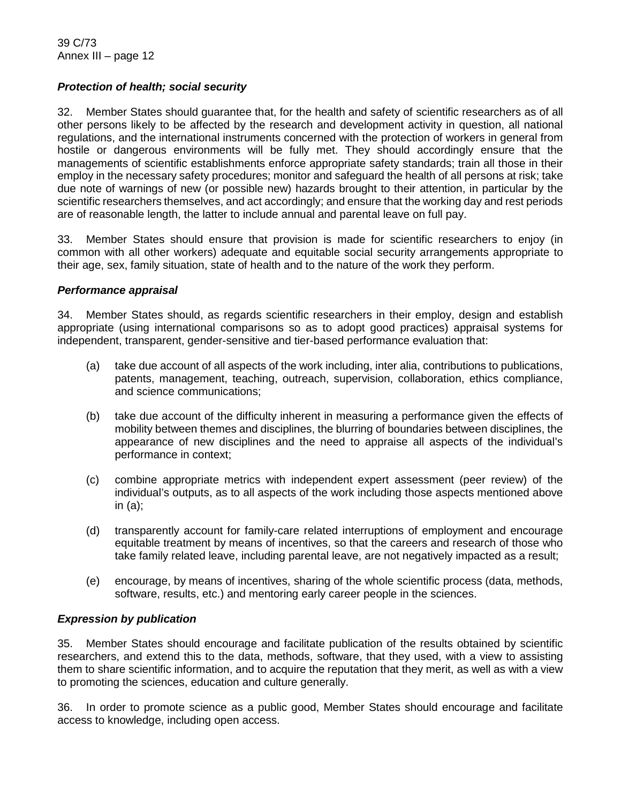# *Protection of health; social security*

32. Member States should guarantee that, for the health and safety of scientific researchers as of all other persons likely to be affected by the research and development activity in question, all national regulations, and the international instruments concerned with the protection of workers in general from hostile or dangerous environments will be fully met. They should accordingly ensure that the managements of scientific establishments enforce appropriate safety standards; train all those in their employ in the necessary safety procedures; monitor and safeguard the health of all persons at risk; take due note of warnings of new (or possible new) hazards brought to their attention, in particular by the scientific researchers themselves, and act accordingly; and ensure that the working day and rest periods are of reasonable length, the latter to include annual and parental leave on full pay.

33. Member States should ensure that provision is made for scientific researchers to enjoy (in common with all other workers) adequate and equitable social security arrangements appropriate to their age, sex, family situation, state of health and to the nature of the work they perform.

# *Performance appraisal*

34. Member States should, as regards scientific researchers in their employ, design and establish appropriate (using international comparisons so as to adopt good practices) appraisal systems for independent, transparent, gender-sensitive and tier-based performance evaluation that:

- (a) take due account of all aspects of the work including, inter alia, contributions to publications, patents, management, teaching, outreach, supervision, collaboration, ethics compliance, and science communications;
- (b) take due account of the difficulty inherent in measuring a performance given the effects of mobility between themes and disciplines, the blurring of boundaries between disciplines, the appearance of new disciplines and the need to appraise all aspects of the individual's performance in context;
- (c) combine appropriate metrics with independent expert assessment (peer review) of the individual's outputs, as to all aspects of the work including those aspects mentioned above in (a);
- (d) transparently account for family-care related interruptions of employment and encourage equitable treatment by means of incentives, so that the careers and research of those who take family related leave, including parental leave, are not negatively impacted as a result;
- (e) encourage, by means of incentives, sharing of the whole scientific process (data, methods, software, results, etc.) and mentoring early career people in the sciences.

# *Expression by publication*

35. Member States should encourage and facilitate publication of the results obtained by scientific researchers, and extend this to the data, methods, software, that they used, with a view to assisting them to share scientific information, and to acquire the reputation that they merit, as well as with a view to promoting the sciences, education and culture generally.

36. In order to promote science as a public good, Member States should encourage and facilitate access to knowledge, including open access.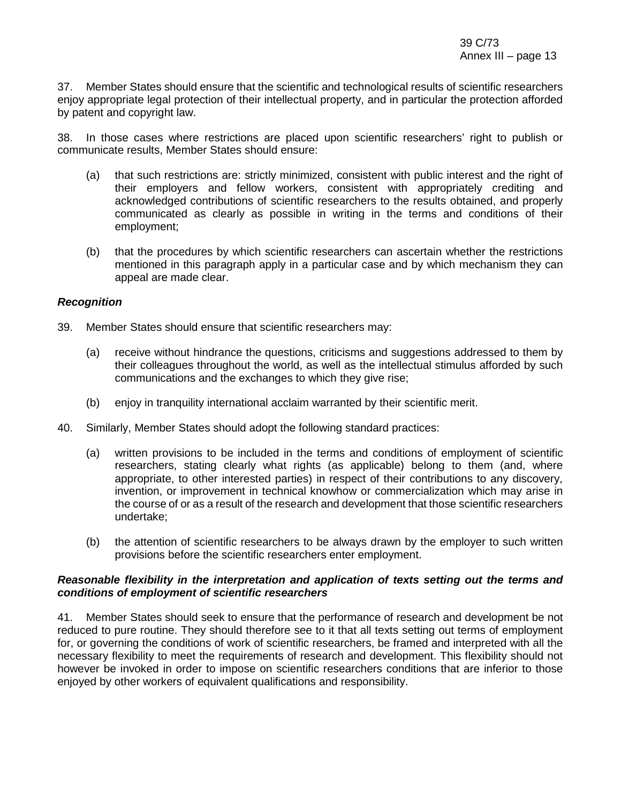37. Member States should ensure that the scientific and technological results of scientific researchers enjoy appropriate legal protection of their intellectual property, and in particular the protection afforded by patent and copyright law.

38. In those cases where restrictions are placed upon scientific researchers' right to publish or communicate results, Member States should ensure:

- (a) that such restrictions are: strictly minimized, consistent with public interest and the right of their employers and fellow workers, consistent with appropriately crediting and acknowledged contributions of scientific researchers to the results obtained, and properly communicated as clearly as possible in writing in the terms and conditions of their employment;
- (b) that the procedures by which scientific researchers can ascertain whether the restrictions mentioned in this paragraph apply in a particular case and by which mechanism they can appeal are made clear.

# *Recognition*

- 39. Member States should ensure that scientific researchers may:
	- (a) receive without hindrance the questions, criticisms and suggestions addressed to them by their colleagues throughout the world, as well as the intellectual stimulus afforded by such communications and the exchanges to which they give rise;
	- (b) enjoy in tranquility international acclaim warranted by their scientific merit.
- 40. Similarly, Member States should adopt the following standard practices:
	- (a) written provisions to be included in the terms and conditions of employment of scientific researchers, stating clearly what rights (as applicable) belong to them (and, where appropriate, to other interested parties) in respect of their contributions to any discovery, invention, or improvement in technical knowhow or commercialization which may arise in the course of or as a result of the research and development that those scientific researchers undertake;
	- (b) the attention of scientific researchers to be always drawn by the employer to such written provisions before the scientific researchers enter employment.

# *Reasonable flexibility in the interpretation and application of texts setting out the terms and conditions of employment of scientific researchers*

41. Member States should seek to ensure that the performance of research and development be not reduced to pure routine. They should therefore see to it that all texts setting out terms of employment for, or governing the conditions of work of scientific researchers, be framed and interpreted with all the necessary flexibility to meet the requirements of research and development. This flexibility should not however be invoked in order to impose on scientific researchers conditions that are inferior to those enjoyed by other workers of equivalent qualifications and responsibility.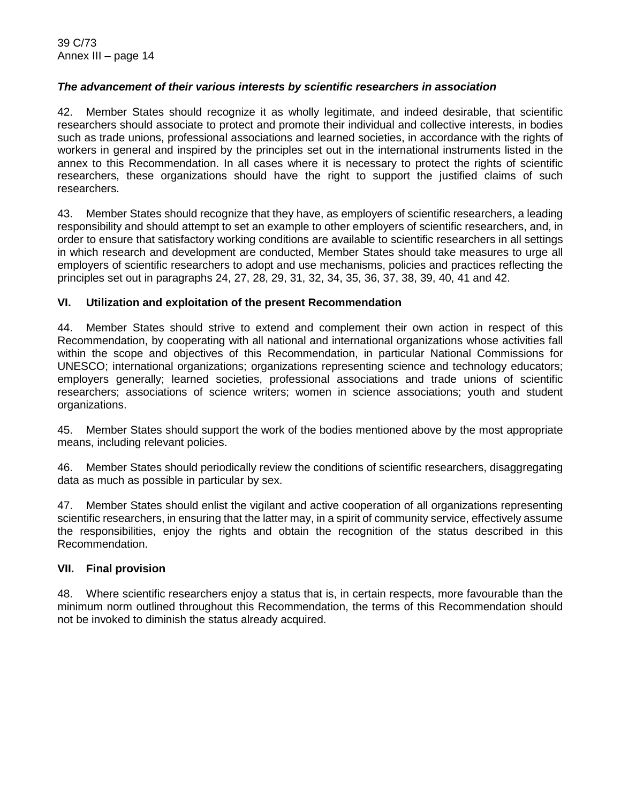# *The advancement of their various interests by scientific researchers in association*

42. Member States should recognize it as wholly legitimate, and indeed desirable, that scientific researchers should associate to protect and promote their individual and collective interests, in bodies such as trade unions, professional associations and learned societies, in accordance with the rights of workers in general and inspired by the principles set out in the international instruments listed in the annex to this Recommendation. In all cases where it is necessary to protect the rights of scientific researchers, these organizations should have the right to support the justified claims of such researchers.

43. Member States should recognize that they have, as employers of scientific researchers, a leading responsibility and should attempt to set an example to other employers of scientific researchers, and, in order to ensure that satisfactory working conditions are available to scientific researchers in all settings in which research and development are conducted, Member States should take measures to urge all employers of scientific researchers to adopt and use mechanisms, policies and practices reflecting the principles set out in paragraphs 24, 27, 28, 29, 31, 32, 34, 35, 36, 37, 38, 39, 40, 41 and 42.

# **VI. Utilization and exploitation of the present Recommendation**

44. Member States should strive to extend and complement their own action in respect of this Recommendation, by cooperating with all national and international organizations whose activities fall within the scope and objectives of this Recommendation, in particular National Commissions for UNESCO; international organizations; organizations representing science and technology educators; employers generally; learned societies, professional associations and trade unions of scientific researchers; associations of science writers; women in science associations; youth and student organizations.

45. Member States should support the work of the bodies mentioned above by the most appropriate means, including relevant policies.

46. Member States should periodically review the conditions of scientific researchers, disaggregating data as much as possible in particular by sex.

47. Member States should enlist the vigilant and active cooperation of all organizations representing scientific researchers, in ensuring that the latter may, in a spirit of community service, effectively assume the responsibilities, enjoy the rights and obtain the recognition of the status described in this Recommendation.

# **VII. Final provision**

48. Where scientific researchers enjoy a status that is, in certain respects, more favourable than the minimum norm outlined throughout this Recommendation, the terms of this Recommendation should not be invoked to diminish the status already acquired.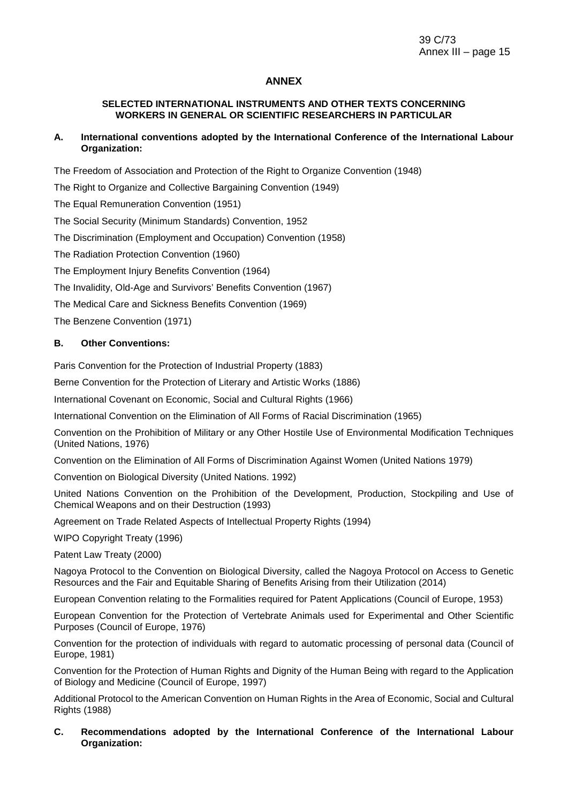# **ANNEX**

### **SELECTED INTERNATIONAL INSTRUMENTS AND OTHER TEXTS CONCERNING WORKERS IN GENERAL OR SCIENTIFIC RESEARCHERS IN PARTICULAR**

# **A. International conventions adopted by the International Conference of the International Labour Organization:**

The Freedom of Association and Protection of the Right to Organize Convention (1948)

The Right to Organize and Collective Bargaining Convention (1949)

The Equal Remuneration Convention (1951)

The Social Security (Minimum Standards) Convention, 1952

The Discrimination (Employment and Occupation) Convention (1958)

The Radiation Protection Convention (1960)

The Employment Injury Benefits Convention (1964)

The Invalidity, Old-Age and Survivors' Benefits Convention (1967)

The Medical Care and Sickness Benefits Convention (1969)

The Benzene Convention (1971)

# **B. Other Conventions:**

Paris Convention for the Protection of Industrial Property (1883)

Berne Convention for the Protection of Literary and Artistic Works (1886)

International Covenant on Economic, Social and Cultural Rights (1966)

International Convention on the Elimination of All Forms of Racial Discrimination (1965)

Convention on the Prohibition of Military or any Other Hostile Use of Environmental Modification Techniques (United Nations, 1976)

Convention on the Elimination of All Forms of Discrimination Against Women (United Nations 1979)

Convention on Biological Diversity (United Nations. 1992)

United Nations Convention on the Prohibition of the Development, Production, Stockpiling and Use of Chemical Weapons and on their Destruction (1993)

Agreement on Trade Related Aspects of Intellectual Property Rights (1994)

WIPO Copyright Treaty (1996)

Patent Law Treaty (2000)

Nagoya Protocol to the Convention on Biological Diversity, called the Nagoya Protocol on Access to Genetic Resources and the Fair and Equitable Sharing of Benefits Arising from their Utilization (2014)

European Convention relating to the Formalities required for Patent Applications (Council of Europe, 1953)

European Convention for the Protection of Vertebrate Animals used for Experimental and Other Scientific Purposes (Council of Europe, 1976)

Convention for the protection of individuals with regard to automatic processing of personal data (Council of Europe, 1981)

Convention for the Protection of Human Rights and Dignity of the Human Being with regard to the Application of Biology and Medicine (Council of Europe, 1997)

Additional Protocol to the American Convention on Human Rights in the Area of Economic, Social and Cultural Rights (1988)

# **C. Recommendations adopted by the International Conference of the International Labour Organization:**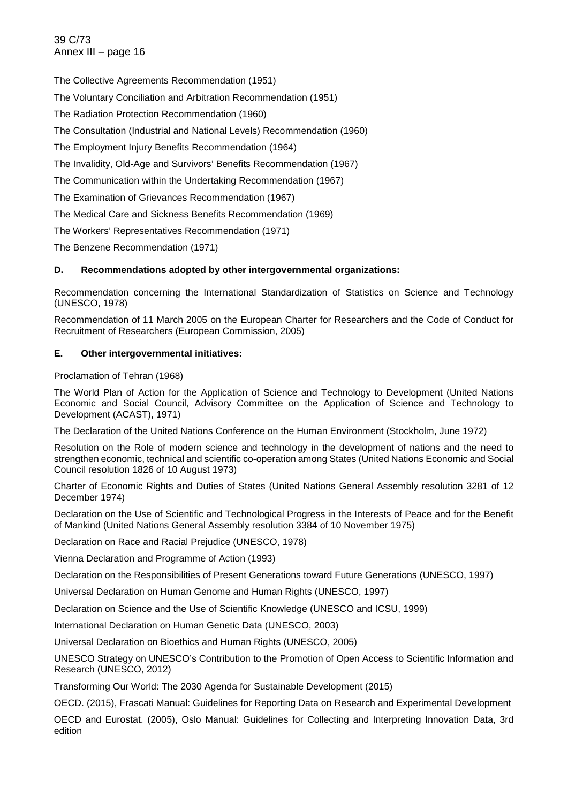39 C/73 Annex III – page 16

The Collective Agreements Recommendation (1951)

The Voluntary Conciliation and Arbitration Recommendation (1951)

The Radiation Protection Recommendation (1960)

The Consultation (Industrial and National Levels) Recommendation (1960)

The Employment Injury Benefits Recommendation (1964)

The Invalidity, Old-Age and Survivors' Benefits Recommendation (1967)

The Communication within the Undertaking Recommendation (1967)

The Examination of Grievances Recommendation (1967)

The Medical Care and Sickness Benefits Recommendation (1969)

The Workers' Representatives Recommendation (1971)

The Benzene Recommendation (1971)

# **D. Recommendations adopted by other intergovernmental organizations:**

Recommendation concerning the International Standardization of Statistics on Science and Technology (UNESCO, 1978)

Recommendation of 11 March 2005 on the European Charter for Researchers and the Code of Conduct for Recruitment of Researchers (European Commission, 2005)

### **E. Other intergovernmental initiatives:**

Proclamation of Tehran (1968)

The World Plan of Action for the Application of Science and Technology to Development (United Nations Economic and Social Council, Advisory Committee on the Application of Science and Technology to Development (ACAST), 1971)

The Declaration of the United Nations Conference on the Human Environment (Stockholm, June 1972)

Resolution on the Role of modern science and technology in the development of nations and the need to strengthen economic, technical and scientific co-operation among States (United Nations Economic and Social Council resolution 1826 of 10 August 1973)

Charter of Economic Rights and Duties of States (United Nations General Assembly resolution 3281 of 12 December 1974)

Declaration on the Use of Scientific and Technological Progress in the Interests of Peace and for the Benefit of Mankind (United Nations General Assembly resolution 3384 of 10 November 1975)

Declaration on Race and Racial Prejudice (UNESCO, 1978)

Vienna Declaration and Programme of Action (1993)

Declaration on the Responsibilities of Present Generations toward Future Generations (UNESCO, 1997)

Universal Declaration on Human Genome and Human Rights (UNESCO, 1997)

Declaration on Science and the Use of Scientific Knowledge (UNESCO and ICSU, 1999)

International Declaration on Human Genetic Data (UNESCO, 2003)

Universal Declaration on Bioethics and Human Rights (UNESCO, 2005)

UNESCO Strategy on UNESCO's Contribution to the Promotion of Open Access to Scientific Information and Research (UNESCO, 2012)

Transforming Our World: The 2030 Agenda for Sustainable Development (2015)

OECD. (2015), Frascati Manual: Guidelines for Reporting Data on Research and Experimental Development OECD and Eurostat. (2005), Oslo Manual: Guidelines for Collecting and Interpreting Innovation Data, 3rd edition